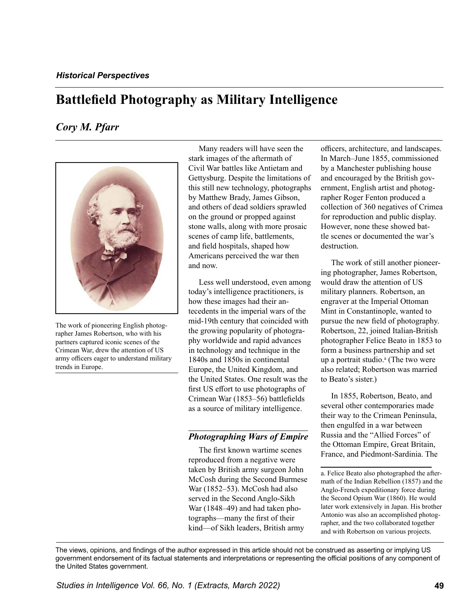# **Battlefield Photography as Military Intelligence**

# *Cory M. Pfarr*



The work of pioneering English photographer James Robertson, who with his partners captured iconic scenes of the Crimean War, drew the attention of US army officers eager to understand military trends in Europe.

Many readers will have seen the stark images of the aftermath of Civil War battles like Antietam and Gettysburg. Despite the limitations of this still new technology, photographs by Matthew Brady, James Gibson, and others of dead soldiers sprawled on the ground or propped against stone walls, along with more prosaic scenes of camp life, battlements, and field hospitals, shaped how Americans perceived the war then and now.

Less well understood, even among today's intelligence practitioners, is how these images had their antecedents in the imperial wars of the mid-19th century that coincided with the growing popularity of photography worldwide and rapid advances in technology and technique in the 1840s and 1850s in continental Europe, the United Kingdom, and the United States. One result was the first US effort to use photographs of Crimean War (1853–56) battlefields as a source of military intelligence.

# *Photographing Wars of Empire*

The first known wartime scenes reproduced from a negative were taken by British army surgeon John McCosh during the Second Burmese War (1852–53). McCosh had also served in the Second Anglo-Sikh War (1848–49) and had taken photographs—many the first of their kind—of Sikh leaders, British army

officers, architecture, and landscapes. In March–June 1855, commissioned by a Manchester publishing house and encouraged by the British government, English artist and photographer Roger Fenton produced a collection of 360 negatives of Crimea for reproduction and public display. However, none these showed battle scenes or documented the war's destruction.

The work of still another pioneering photographer, James Robertson, would draw the attention of US military planners. Robertson, an engraver at the Imperial Ottoman Mint in Constantinople, wanted to pursue the new field of photography. Robertson, 22, joined Italian-British photographer Felice Beato in 1853 to form a business partnership and set up a portrait studio.<sup>a</sup> (The two were also related; Robertson was married to Beato's sister.)

In 1855, Robertson, Beato, and several other contemporaries made their way to the Crimean Peninsula, then engulfed in a war between Russia and the "Allied Forces" of the Ottoman Empire, Great Britain, France, and Piedmont-Sardinia. The

a. Felice Beato also photographed the aftermath of the Indian Rebellion (1857) and the Anglo-French expeditionary force during the Second Opium War (1860). He would later work extensively in Japan. His brother Antonio was also an accomplished photographer, and the two collaborated together and with Robertson on various projects.

The views, opinions, and findings of the author expressed in this article should not be construed as asserting or implying US government endorsement of its factual statements and interpretations or representing the official positions of any component of the United States government.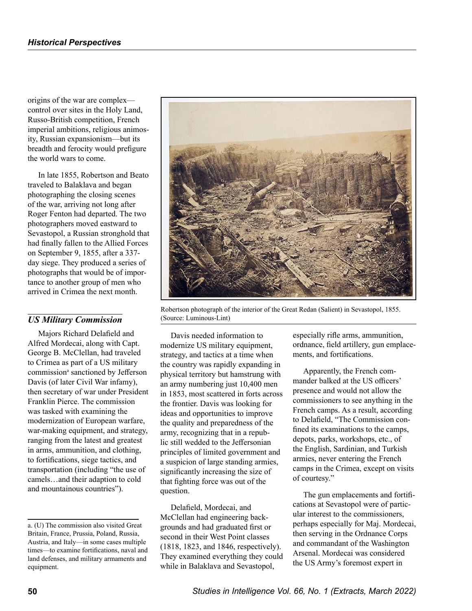origins of the war are complex control over sites in the Holy Land, Russo-British competition, French imperial ambitions, religious animosity, Russian expansionism—but its breadth and ferocity would prefigure the world wars to come.

In late 1855, Robertson and Beato traveled to Balaklava and began photographing the closing scenes of the war, arriving not long after Roger Fenton had departed. The two photographers moved eastward to Sevastopol, a Russian stronghold that had finally fallen to the Allied Forces on September 9, 1855, after a 337 day siege. They produced a series of photographs that would be of importance to another group of men who arrived in Crimea the next month.

# *US Military Commission*

Majors Richard Delafield and Alfred Mordecai, along with Capt. George B. McClellan, had traveled to Crimea as part of a US military commission<sup>a</sup> sanctioned by Jefferson Davis (of later Civil War infamy), then secretary of war under President Franklin Pierce. The commission was tasked with examining the modernization of European warfare, war-making equipment, and strategy, ranging from the latest and greatest in arms, ammunition, and clothing, to fortifications, siege tactics, and transportation (including "the use of camels…and their adaption to cold and mountainous countries").



Robertson photograph of the interior of the Great Redan (Salient) in Sevastopol, 1855. (Source: Luminous-Lint)

Davis needed information to modernize US military equipment, strategy, and tactics at a time when the country was rapidly expanding in physical territory but hamstrung with an army numbering just 10,400 men in 1853, most scattered in forts across the frontier. Davis was looking for ideas and opportunities to improve the quality and preparedness of the army, recognizing that in a republic still wedded to the Jeffersonian principles of limited government and a suspicion of large standing armies, significantly increasing the size of that fighting force was out of the question.

Delafield, Mordecai, and McClellan had engineering backgrounds and had graduated first or second in their West Point classes (1818, 1823, and 1846, respectively). They examined everything they could while in Balaklava and Sevastopol,

especially rifle arms, ammunition, ordnance, field artillery, gun emplacements, and fortifications.

Apparently, the French commander balked at the US officers' presence and would not allow the commissioners to see anything in the French camps. As a result, according to Delafield, "The Commission confined its examinations to the camps, depots, parks, workshops, etc., of the English, Sardinian, and Turkish armies, never entering the French camps in the Crimea, except on visits of courtesy."

The gun emplacements and fortifications at Sevastopol were of particular interest to the commissioners, perhaps especially for Maj. Mordecai, then serving in the Ordnance Corps and commandant of the Washington Arsenal. Mordecai was considered the US Army's foremost expert in

a. (U) The commission also visited Great Britain, France, Prussia, Poland, Russia, Austria, and Italy—in some cases multiple times—to examine fortifications, naval and land defenses, and military armaments and equipment.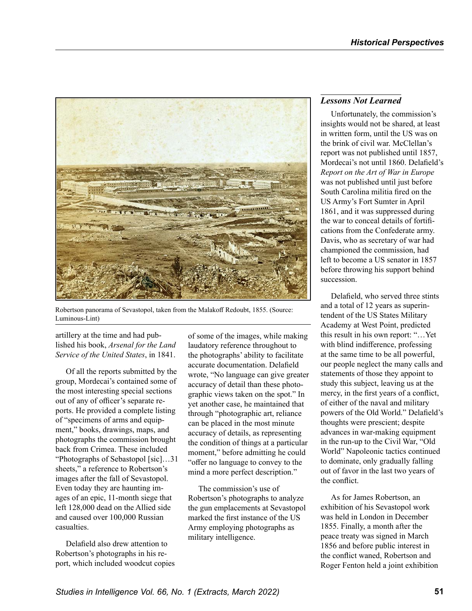

Robertson panorama of Sevastopol, taken from the Malakoff Redoubt, 1855. (Source: Luminous-Lint)

#### artillery at the time and had published his book, *Arsenal for the Land Service of the United States*, in 1841.

Of all the reports submitted by the group, Mordecai's contained some of the most interesting special sections out of any of officer's separate reports. He provided a complete listing of "specimens of arms and equipment," books, drawings, maps, and photographs the commission brought back from Crimea. These included "Photographs of Sebastopol [sic]…31 sheets," a reference to Robertson's images after the fall of Sevastopol. Even today they are haunting images of an epic, 11-month siege that left 128,000 dead on the Allied side and caused over 100,000 Russian casualties.

Delafield also drew attention to Robertson's photographs in his report, which included woodcut copies

of some of the images, while making laudatory reference throughout to the photographs' ability to facilitate accurate documentation. Delafield wrote, "No language can give greater accuracy of detail than these photographic views taken on the spot." In yet another case, he maintained that through "photographic art, reliance can be placed in the most minute accuracy of details, as representing the condition of things at a particular moment," before admitting he could "offer no language to convey to the mind a more perfect description."

The commission's use of Robertson's photographs to analyze the gun emplacements at Sevastopol marked the first instance of the US Army employing photographs as military intelligence.

#### *Lessons Not Learned*

Unfortunately, the commission's insights would not be shared, at least in written form, until the US was on the brink of civil war. McClellan's report was not published until 1857, Mordecai's not until 1860. Delafield's *Report on the Art of War in Europe* was not published until just before South Carolina militia fired on the US Army's Fort Sumter in April 1861, and it was suppressed during the war to conceal details of fortifications from the Confederate army. Davis, who as secretary of war had championed the commission, had left to become a US senator in 1857 before throwing his support behind succession.

Delafield, who served three stints and a total of 12 years as superintendent of the US States Military Academy at West Point, predicted this result in his own report: "…Yet with blind indifference, professing at the same time to be all powerful, our people neglect the many calls and statements of those they appoint to study this subject, leaving us at the mercy, in the first years of a conflict, of either of the naval and military powers of the Old World." Delafield's thoughts were prescient; despite advances in war-making equipment in the run-up to the Civil War, "Old World" Napoleonic tactics continued to dominate, only gradually falling out of favor in the last two years of the conflict.

As for James Robertson, an exhibition of his Sevastopol work was held in London in December 1855. Finally, a month after the peace treaty was signed in March 1856 and before public interest in the conflict waned, Robertson and Roger Fenton held a joint exhibition